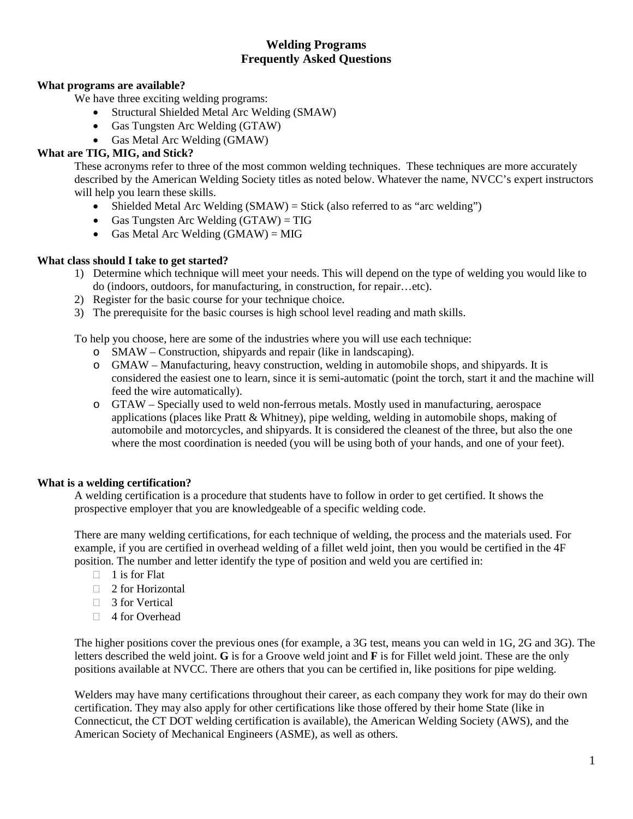# **Welding Programs Frequently Asked Questions**

# **What programs are available?**

We have three exciting welding programs:

- Structural Shielded Metal Arc Welding (SMAW)
- Gas Tungsten Arc Welding (GTAW)
- Gas Metal Arc Welding (GMAW)

## **What are TIG, MIG, and Stick?**

These acronyms refer to three of the most common welding techniques. These techniques are more accurately described by the American Welding Society titles as noted below. Whatever the name, NVCC's expert instructors will help you learn these skills.

- Shielded Metal Arc Welding  $(SMAW) = Stick$  (also referred to as "arc welding")
- Gas Tungsten Arc Welding  $(GTAW) = TIG$
- Gas Metal Arc Welding  $(GMAW) = MIG$

## **What class should I take to get started?**

- 1) Determine which technique will meet your needs. This will depend on the type of welding you would like to do (indoors, outdoors, for manufacturing, in construction, for repair…etc).
- 2) Register for the basic course for your technique choice.
- 3) The prerequisite for the basic courses is high school level reading and math skills.

To help you choose, here are some of the industries where you will use each technique:

- o SMAW Construction, shipyards and repair (like in landscaping).
- o GMAW Manufacturing, heavy construction, welding in automobile shops, and shipyards. It is considered the easiest one to learn, since it is semi-automatic (point the torch, start it and the machine will feed the wire automatically).
- o GTAW Specially used to weld non-ferrous metals. Mostly used in manufacturing, aerospace applications (places like Pratt & Whitney), pipe welding, welding in automobile shops, making of automobile and motorcycles, and shipyards. It is considered the cleanest of the three, but also the one where the most coordination is needed (you will be using both of your hands, and one of your feet).

## **What is a welding certification?**

A welding certification is a procedure that students have to follow in order to get certified. It shows the prospective employer that you are knowledgeable of a specific welding code.

There are many welding certifications, for each technique of welding, the process and the materials used. For example, if you are certified in overhead welding of a fillet weld joint, then you would be certified in the 4F position. The number and letter identify the type of position and weld you are certified in:

- $\Box$  1 is for Flat
- $\Box$  2 for Horizontal
- □ 3 for Vertical
- □ 4 for Overhead

The higher positions cover the previous ones (for example, a 3G test, means you can weld in 1G, 2G and 3G). The letters described the weld joint. **G** is for a Groove weld joint and **F** is for Fillet weld joint. These are the only positions available at NVCC. There are others that you can be certified in, like positions for pipe welding.

Welders may have many certifications throughout their career, as each company they work for may do their own certification. They may also apply for other certifications like those offered by their home State (like in Connecticut, the CT DOT welding certification is available), the American Welding Society (AWS), and the American Society of Mechanical Engineers (ASME), as well as others.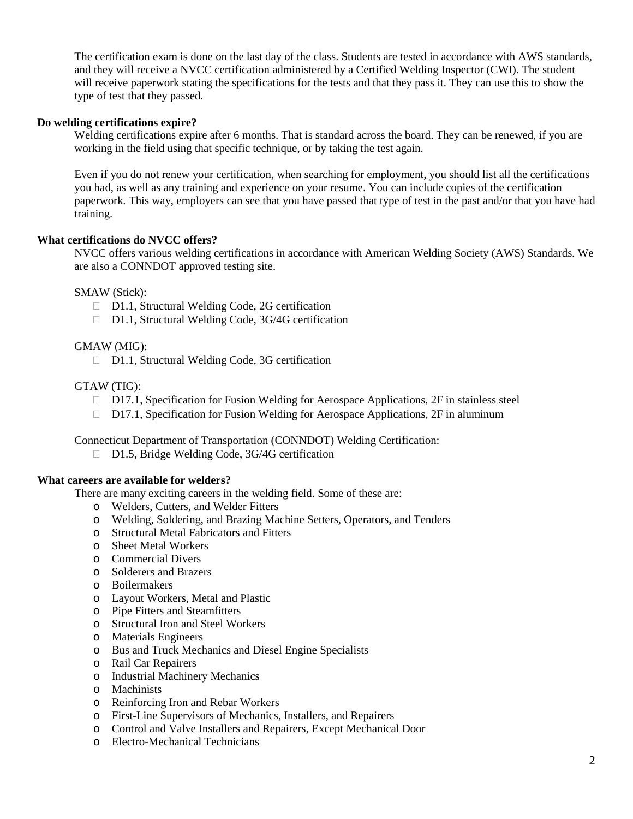The certification exam is done on the last day of the class. Students are tested in accordance with AWS standards, and they will receive a NVCC certification administered by a Certified Welding Inspector (CWI). The student will receive paperwork stating the specifications for the tests and that they pass it. They can use this to show the type of test that they passed.

### **Do welding certifications expire?**

Welding certifications expire after 6 months. That is standard across the board. They can be renewed, if you are working in the field using that specific technique, or by taking the test again.

Even if you do not renew your certification, when searching for employment, you should list all the certifications you had, as well as any training and experience on your resume. You can include copies of the certification paperwork. This way, employers can see that you have passed that type of test in the past and/or that you have had training.

### **What certifications do NVCC offers?**

NVCC offers various welding certifications in accordance with American Welding Society (AWS) Standards. We are also a CONNDOT approved testing site.

SMAW (Stick):

- □ D1.1, Structural Welding Code, 2G certification
- □ D1.1, Structural Welding Code, 3G/4G certification

### GMAW (MIG):

□ D1.1, Structural Welding Code, 3G certification

#### GTAW (TIG):

- $\Box$  D17.1, Specification for Fusion Welding for Aerospace Applications, 2F in stainless steel
- $\Box$  D17.1, Specification for Fusion Welding for Aerospace Applications, 2F in aluminum

Connecticut Department of Transportation (CONNDOT) Welding Certification:

□ D1.5, Bridge Welding Code, 3G/4G certification

#### **What careers are available for welders?**

There are many exciting careers in the welding field. Some of these are:

- o Welders, Cutters, and Welder Fitters
- o Welding, Soldering, and Brazing Machine Setters, Operators, and Tenders
- o Structural Metal Fabricators and Fitters
- o Sheet Metal Workers
- o Commercial Divers
- o Solderers and Brazers
- o Boilermakers
- o Layout Workers, Metal and Plastic
- o Pipe Fitters and Steamfitters
- o Structural Iron and Steel Workers
- o Materials Engineers
- o Bus and Truck Mechanics and Diesel Engine Specialists
- o Rail Car Repairers
- o Industrial Machinery Mechanics
- o Machinists
- o Reinforcing Iron and Rebar Workers
- o First-Line Supervisors of Mechanics, Installers, and Repairers
- o Control and Valve Installers and Repairers, Except Mechanical Door
- o Electro-Mechanical Technicians